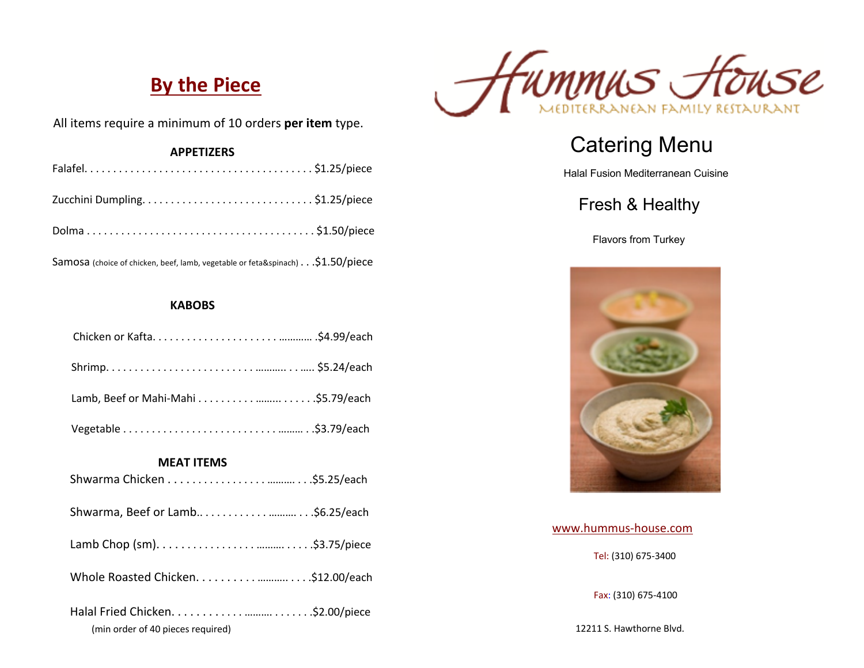# **By the Piece**



All items require a minimum of 10 orders **per item** type.

| <b>APPETIZERS</b> |  |
|-------------------|--|
|                   |  |
|                   |  |
|                   |  |

Samosa (choice of chicken, beef, lamb, vegetable or feta&spinach) . . .\$1.50/piece

#### **KABOBS**

| <b>MEAT ITEMS</b>                 |  |
|-----------------------------------|--|
|                                   |  |
|                                   |  |
|                                   |  |
|                                   |  |
| (min order of 40 pieces required) |  |

# Catering Menu

Halal Fusion Mediterranean Cuisine

### Fresh & Healthy

Flavors from Turkey



www.hummus-house.com Tel: (310) 675-3400

Fax: (310) 675-4100

12211 S. Hawthorne Blvd.